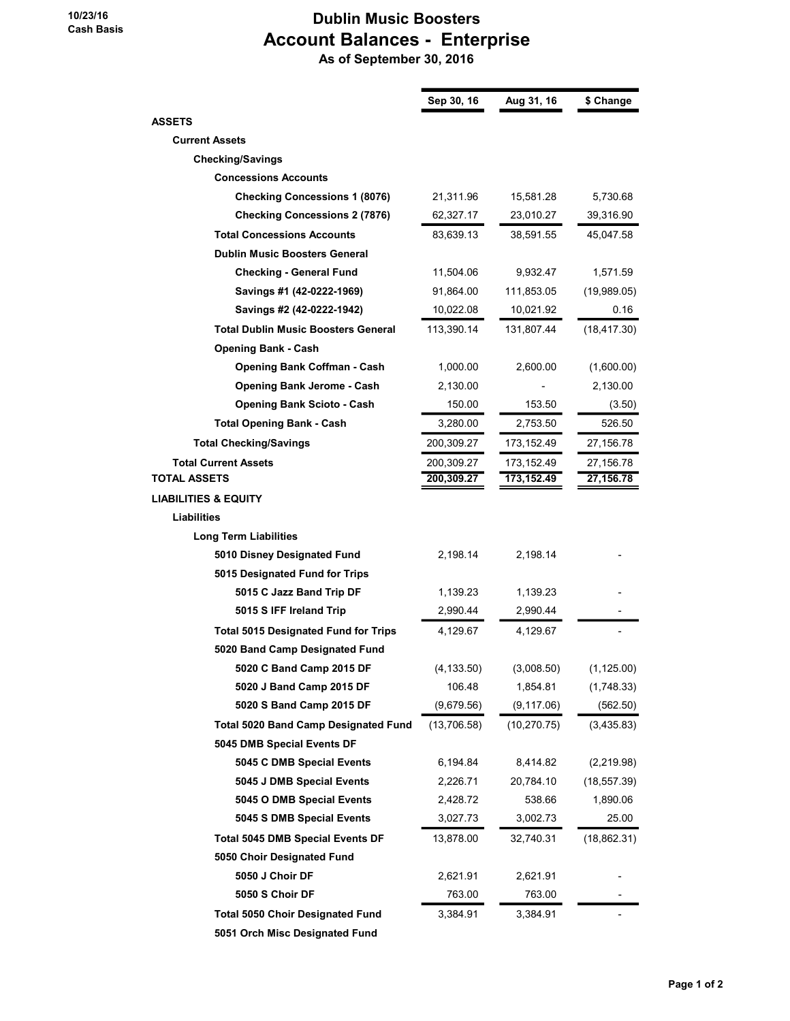## Dublin Music Boosters Account Balances - Enterprise As of September 30, 2016

|                                             | Sep 30, 16  | Aug 31, 16   | \$ Change    |
|---------------------------------------------|-------------|--------------|--------------|
| <b>ASSETS</b>                               |             |              |              |
| <b>Current Assets</b>                       |             |              |              |
| <b>Checking/Savings</b>                     |             |              |              |
| <b>Concessions Accounts</b>                 |             |              |              |
| <b>Checking Concessions 1 (8076)</b>        | 21,311.96   | 15,581.28    | 5,730.68     |
| <b>Checking Concessions 2 (7876)</b>        | 62,327.17   | 23,010.27    | 39,316.90    |
| <b>Total Concessions Accounts</b>           | 83,639.13   | 38,591.55    | 45,047.58    |
| <b>Dublin Music Boosters General</b>        |             |              |              |
| <b>Checking - General Fund</b>              | 11,504.06   | 9,932.47     | 1,571.59     |
| Savings #1 (42-0222-1969)                   | 91,864.00   | 111,853.05   | (19,989.05)  |
| Savings #2 (42-0222-1942)                   | 10,022.08   | 10,021.92    | 0.16         |
| <b>Total Dublin Music Boosters General</b>  | 113,390.14  | 131,807.44   | (18, 417.30) |
| <b>Opening Bank - Cash</b>                  |             |              |              |
| <b>Opening Bank Coffman - Cash</b>          | 1,000.00    | 2,600.00     | (1,600.00)   |
| <b>Opening Bank Jerome - Cash</b>           | 2,130.00    |              | 2,130.00     |
| <b>Opening Bank Scioto - Cash</b>           | 150.00      | 153.50       | (3.50)       |
| <b>Total Opening Bank - Cash</b>            | 3,280.00    | 2,753.50     | 526.50       |
| <b>Total Checking/Savings</b>               | 200,309.27  | 173,152.49   | 27,156.78    |
| <b>Total Current Assets</b>                 | 200,309.27  | 173,152.49   | 27,156.78    |
| <b>TOTAL ASSETS</b>                         | 200,309.27  | 173,152.49   | 27,156.78    |
| <b>LIABILITIES &amp; EQUITY</b>             |             |              |              |
| Liabilities                                 |             |              |              |
| <b>Long Term Liabilities</b>                |             |              |              |
| 5010 Disney Designated Fund                 | 2,198.14    | 2,198.14     |              |
| 5015 Designated Fund for Trips              |             |              |              |
| 5015 C Jazz Band Trip DF                    | 1,139.23    | 1,139.23     |              |
| 5015 S IFF Ireland Trip                     | 2,990.44    | 2,990.44     |              |
| <b>Total 5015 Designated Fund for Trips</b> | 4,129.67    | 4,129.67     |              |
| 5020 Band Camp Designated Fund              |             |              |              |
| 5020 C Band Camp 2015 DF                    | (4, 133.50) | (3,008.50)   | (1, 125.00)  |
| 5020 J Band Camp 2015 DF                    | 106.48      | 1,854.81     | (1,748.33)   |
| 5020 S Band Camp 2015 DF                    | (9,679.56)  | (9, 117.06)  | (562.50)     |
| <b>Total 5020 Band Camp Designated Fund</b> | (13,706.58) | (10, 270.75) | (3,435.83)   |
| 5045 DMB Special Events DF                  |             |              |              |
| 5045 C DMB Special Events                   | 6,194.84    | 8,414.82     | (2,219.98)   |
| 5045 J DMB Special Events                   | 2,226.71    | 20,784.10    | (18, 557.39) |
| 5045 O DMB Special Events                   | 2,428.72    | 538.66       | 1,890.06     |
| 5045 S DMB Special Events                   | 3,027.73    | 3,002.73     | 25.00        |
| <b>Total 5045 DMB Special Events DF</b>     | 13,878.00   | 32,740.31    | (18, 862.31) |
| 5050 Choir Designated Fund                  |             |              |              |
| 5050 J Choir DF                             | 2,621.91    | 2,621.91     |              |
| 5050 S Choir DF                             | 763.00      | 763.00       |              |
| <b>Total 5050 Choir Designated Fund</b>     | 3,384.91    | 3,384.91     |              |
| 5051 Orch Misc Designated Fund              |             |              |              |